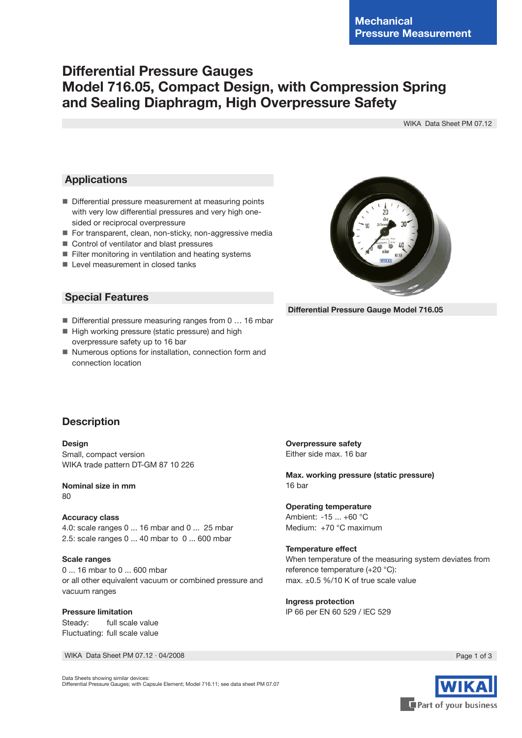## **Differential Pressure Gauges Model 716.05, Compact Design, with Compression Spring and Sealing Diaphragm, High Overpressure Safety**

WIKA Data Sheet PM 07.12

#### **Applications**

- Differential pressure measurement at measuring points with very low differential pressures and very high onesided or reciprocal overpressure
- For transparent, clean, non-sticky, non-aggressive media
- Control of ventilator and blast pressures
- **Filter monitoring in ventilation and heating systems**
- **Level measurement in closed tanks**



 **Differential Pressure Gauge Model 716.05**

### **Special Features**

- Differential pressure measuring ranges from 0 ... 16 mbar
- High working pressure (static pressure) and high overpressure safety up to 16 bar
- Numerous options for installation, connection form and connection location

### **Description**

**Design** Small, compact version WIKA trade pattern DT-GM 87 10 226

**Nominal size in mm**  $80$ 

**Accuracy class**  4.0: scale ranges 0 ... 16 mbar and 0 ... 25 mbar 2.5: scale ranges 0 ... 40 mbar to 0 ... 600 mbar

#### **Scale ranges**

0 ... 16 mbar to 0 ... 600 mbar or all other equivalent vacuum or combined pressure and vacuum ranges

**Pressure limitation** Steady: full scale value Fluctuating: full scale value

WIKA Data Sheet PM 07.12 ⋅ 04/2008 Page 1 of 3

**Overpressure safety** Either side max. 16 bar

**Max. working pressure (static pressure)** 16 bar

**Operating temperature** Ambient: -15 ... +60 °C Medium: +70 °C maximum

**Temperature effect** When temperature of the measuring system deviates from reference temperature (+20 °C): max. ±0.5 %/10 K of true scale value

**Ingress protection** lP 66 per EN 60 529 / lEC 529



Data Sheets showing similar devices: Differential Pressure Gauges; with Capsule Element; Model 716.11; see data sheet PM 07.07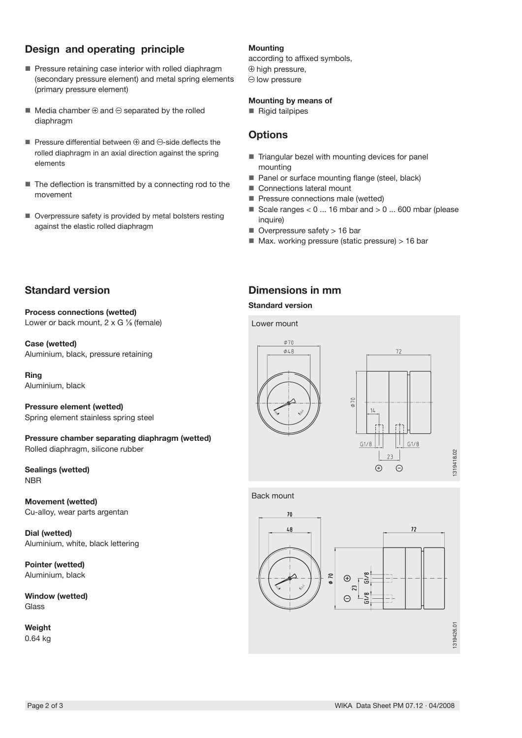## **Design and operating principle**

- **Pressure retaining case interior with rolled diaphragm** (secondary pressure element) and metal spring elements (primary pressure element)
- $\blacksquare$  Media chamber  $\oplus$  and  $\ominus$  separated by the rolled diaphragm
- **Pressure differential between**  $\oplus$  **and**  $\ominus$ **-side deflects the** rolled diaphragm in an axial direction against the spring elements
- The deflection is transmitted by a connecting rod to the movement
- Overpressure safety is provided by metal bolsters resting against the elastic rolled diaphragm

#### **Mounting**

according to affixed symbols,  $\oplus$  high pressure,  $\ominus$  low pressure

#### **Mounting by means of**

Rigid tailpipes

## **Options**

- $\blacksquare$  Triangular bezel with mounting devices for panel mounting
- Panel or surface mounting flange (steel, black)
- Connections lateral mount
- **Pressure connections male (wetted)**
- Scale ranges  $< 0$  ... 16 mbar and  $> 0$  ... 600 mbar (please inquire)
- Overpressure safety > 16 bar
- $\blacksquare$  Max. working pressure (static pressure) > 16 bar

## **Standard version**

**Process connections (wetted)** Lower or back mount,  $2 \times G$  % (female)

**Case (wetted)** Aluminium, black, pressure retaining

**Ring** Aluminium, black

**Pressure element (wetted)** Spring element stainless spring steel

**Pressure chamber separating diaphragm (wetted)** Rolled diaphragm, silicone rubber

**Sealings (wetted) NBR** 

**Movement (wetted)** Cu-alloy, wear parts argentan

**Dial (wetted)** Aluminium, white, black lettering

**Pointer (wetted)** Aluminium, black

**Window (wetted)** Glass

**Weight** 0.64 kg



#### **Standard version**

Lower mount



Back mount